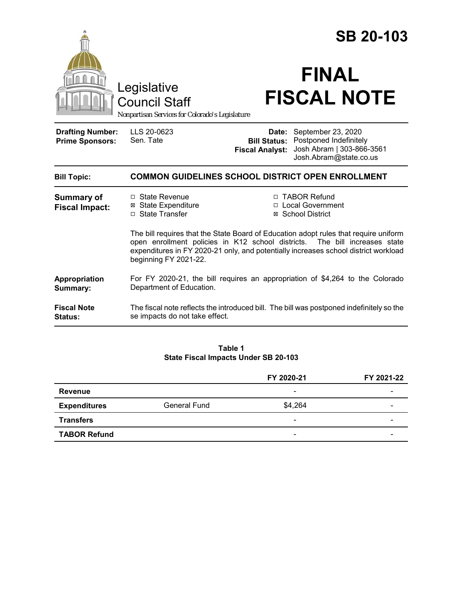|                                                                                        |                                                                                                                                                                                                                                                                                       |                                    | <b>SB 20-103</b>                                                                                                        |  |
|----------------------------------------------------------------------------------------|---------------------------------------------------------------------------------------------------------------------------------------------------------------------------------------------------------------------------------------------------------------------------------------|------------------------------------|-------------------------------------------------------------------------------------------------------------------------|--|
| Legislative<br><b>Council Staff</b><br>Nonpartisan Services for Colorado's Legislature |                                                                                                                                                                                                                                                                                       | <b>FINAL</b><br><b>FISCAL NOTE</b> |                                                                                                                         |  |
| <b>Drafting Number:</b><br><b>Prime Sponsors:</b>                                      | LLS 20-0623<br>Sen. Tate                                                                                                                                                                                                                                                              | Date:<br><b>Fiscal Analyst:</b>    | September 23, 2020<br><b>Bill Status: Postponed Indefinitely</b><br>Josh Abram   303-866-3561<br>Josh.Abram@state.co.us |  |
| <b>Bill Topic:</b>                                                                     | <b>COMMON GUIDELINES SCHOOL DISTRICT OPEN ENROLLMENT</b>                                                                                                                                                                                                                              |                                    |                                                                                                                         |  |
| <b>Summary of</b><br><b>Fiscal Impact:</b>                                             | □ State Revenue<br><b>⊠ State Expenditure</b><br>□ State Transfer                                                                                                                                                                                                                     |                                    | □ TABOR Refund<br>□ Local Government<br>⊠ School District                                                               |  |
|                                                                                        | The bill requires that the State Board of Education adopt rules that require uniform<br>open enrollment policies in K12 school districts.<br>The bill increases state<br>expenditures in FY 2020-21 only, and potentially increases school district workload<br>beginning FY 2021-22. |                                    |                                                                                                                         |  |
| Appropriation<br>Summary:                                                              | For FY 2020-21, the bill requires an appropriation of \$4,264 to the Colorado<br>Department of Education.                                                                                                                                                                             |                                    |                                                                                                                         |  |
| <b>Fiscal Note</b><br>Status:                                                          | The fiscal note reflects the introduced bill. The bill was postponed indefinitely so the<br>se impacts do not take effect.                                                                                                                                                            |                                    |                                                                                                                         |  |

#### **Table 1 State Fiscal Impacts Under SB 20-103**

|                     |                     | FY 2020-21               | FY 2021-22 |
|---------------------|---------------------|--------------------------|------------|
| Revenue             |                     | $\overline{\phantom{a}}$ |            |
| <b>Expenditures</b> | <b>General Fund</b> | \$4,264                  |            |
| <b>Transfers</b>    |                     | $\overline{\phantom{a}}$ |            |
| <b>TABOR Refund</b> |                     | $\overline{\phantom{a}}$ | -          |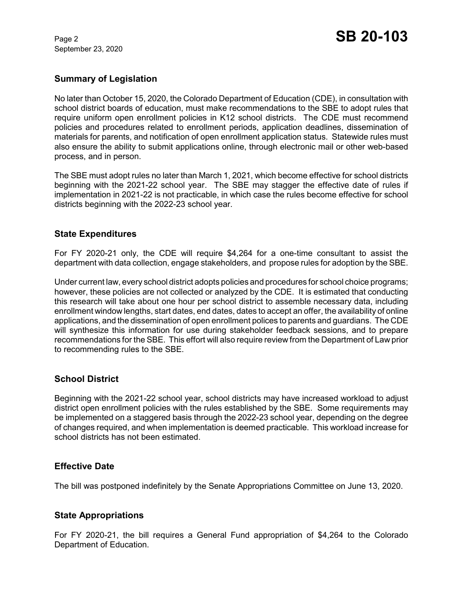September 23, 2020

## **Summary of Legislation**

No later than October 15, 2020, the Colorado Department of Education (CDE), in consultation with school district boards of education, must make recommendations to the SBE to adopt rules that require uniform open enrollment policies in K12 school districts. The CDE must recommend policies and procedures related to enrollment periods, application deadlines, dissemination of materials for parents, and notification of open enrollment application status. Statewide rules must also ensure the ability to submit applications online, through electronic mail or other web-based process, and in person.

The SBE must adopt rules no later than March 1, 2021, which become effective for school districts beginning with the 2021-22 school year. The SBE may stagger the effective date of rules if implementation in 2021-22 is not practicable, in which case the rules become effective for school districts beginning with the 2022-23 school year.

### **State Expenditures**

For FY 2020-21 only, the CDE will require \$4,264 for a one-time consultant to assist the department with data collection, engage stakeholders, and propose rules for adoption by the SBE.

Under current law, every school district adopts policies and procedures for school choice programs; however, these policies are not collected or analyzed by the CDE. It is estimated that conducting this research will take about one hour per school district to assemble necessary data, including enrollment window lengths, start dates, end dates, dates to accept an offer, the availability of online applications, and the dissemination of open enrollment polices to parents and guardians. The CDE will synthesize this information for use during stakeholder feedback sessions, and to prepare recommendations for the SBE. This effort will also require review from the Department of Law prior to recommending rules to the SBE.

# **School District**

Beginning with the 2021-22 school year, school districts may have increased workload to adjust district open enrollment policies with the rules established by the SBE. Some requirements may be implemented on a staggered basis through the 2022-23 school year, depending on the degree of changes required, and when implementation is deemed practicable. This workload increase for school districts has not been estimated.

# **Effective Date**

The bill was postponed indefinitely by the Senate Appropriations Committee on June 13, 2020.

#### **State Appropriations**

For FY 2020-21, the bill requires a General Fund appropriation of \$4,264 to the Colorado Department of Education.